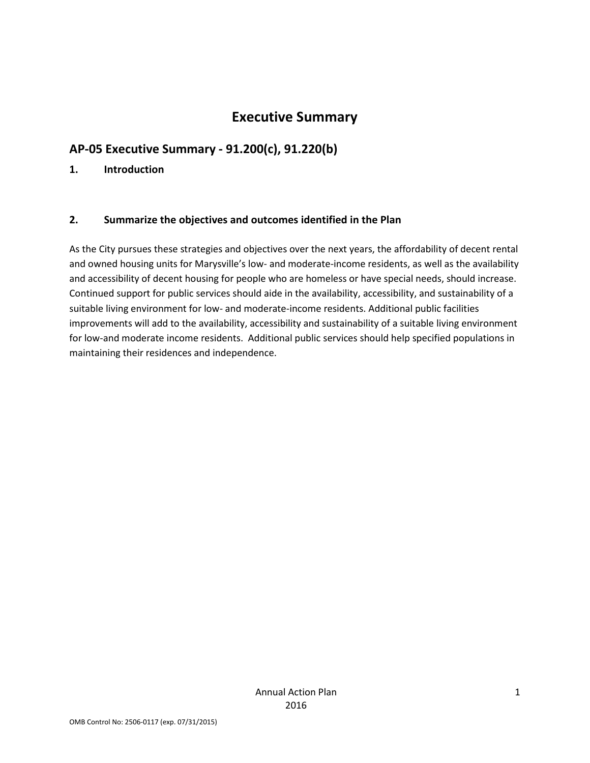## **Executive Summary**

## **AP-05 Executive Summary - 91.200(c), 91.220(b)**

### **1. Introduction**

### **2. Summarize the objectives and outcomes identified in the Plan**

As the City pursues these strategies and objectives over the next years, the affordability of decent rental and owned housing units for Marysville's low- and moderate-income residents, as well as the availability and accessibility of decent housing for people who are homeless or have special needs, should increase. Continued support for public services should aide in the availability, accessibility, and sustainability of a suitable living environment for low- and moderate-income residents. Additional public facilities improvements will add to the availability, accessibility and sustainability of a suitable living environment for low-and moderate income residents. Additional public services should help specified populations in maintaining their residences and independence.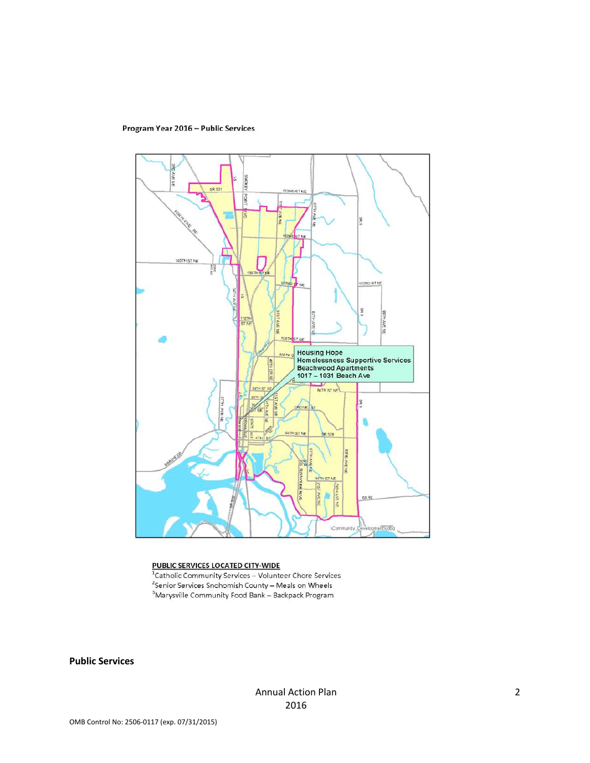Program Year 2016 - Public Services



#### PUBLIC SERVICES LOCATED CITY-WIDE

<sup>1</sup>Catholic Community Services - Volunteer Chore Services  $\frac{2}{3}$ Senior Services Snohomish County – Meals on Wheels <sup>3</sup>Marysville Community Food Bank - Backpack Program

**Public Services**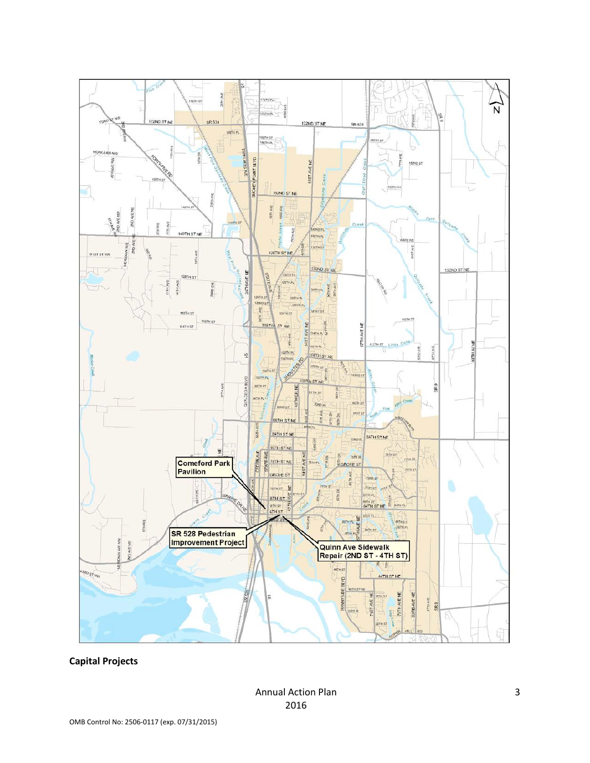

**Capital Projects**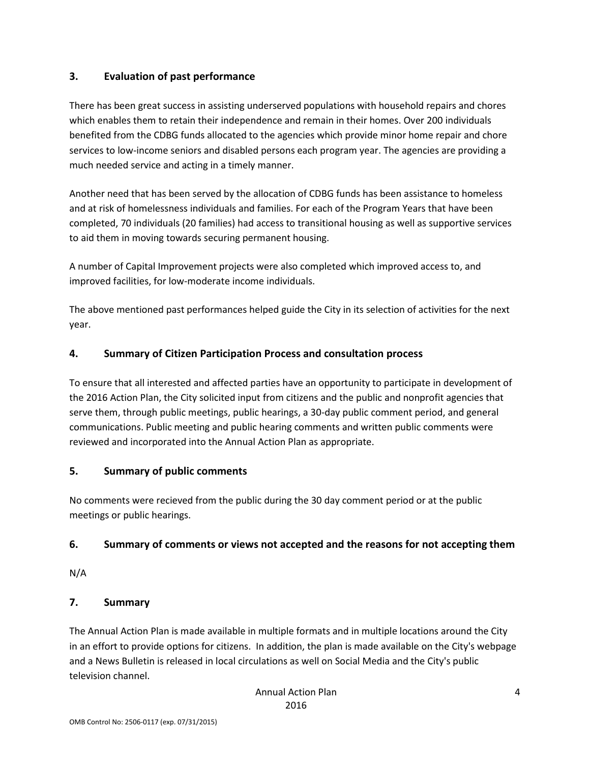### **3. Evaluation of past performance**

There has been great success in assisting underserved populations with household repairs and chores which enables them to retain their independence and remain in their homes. Over 200 individuals benefited from the CDBG funds allocated to the agencies which provide minor home repair and chore services to low-income seniors and disabled persons each program year. The agencies are providing a much needed service and acting in a timely manner.

Another need that has been served by the allocation of CDBG funds has been assistance to homeless and at risk of homelessness individuals and families. For each of the Program Years that have been completed, 70 individuals (20 families) had access to transitional housing as well as supportive services to aid them in moving towards securing permanent housing.

A number of Capital Improvement projects were also completed which improved access to, and improved facilities, for low-moderate income individuals.

The above mentioned past performances helped guide the City in its selection of activities for the next year.

### **4. Summary of Citizen Participation Process and consultation process**

To ensure that all interested and affected parties have an opportunity to participate in development of the 2016 Action Plan, the City solicited input from citizens and the public and nonprofit agencies that serve them, through public meetings, public hearings, a 30-day public comment period, and general communications. Public meeting and public hearing comments and written public comments were reviewed and incorporated into the Annual Action Plan as appropriate.

### **5. Summary of public comments**

No comments were recieved from the public during the 30 day comment period or at the public meetings or public hearings.

### **6. Summary of comments or views not accepted and the reasons for not accepting them**

N/A

### **7. Summary**

The Annual Action Plan is made available in multiple formats and in multiple locations around the City in an effort to provide options for citizens. In addition, the plan is made available on the City's webpage and a News Bulletin is released in local circulations as well on Social Media and the City's public television channel.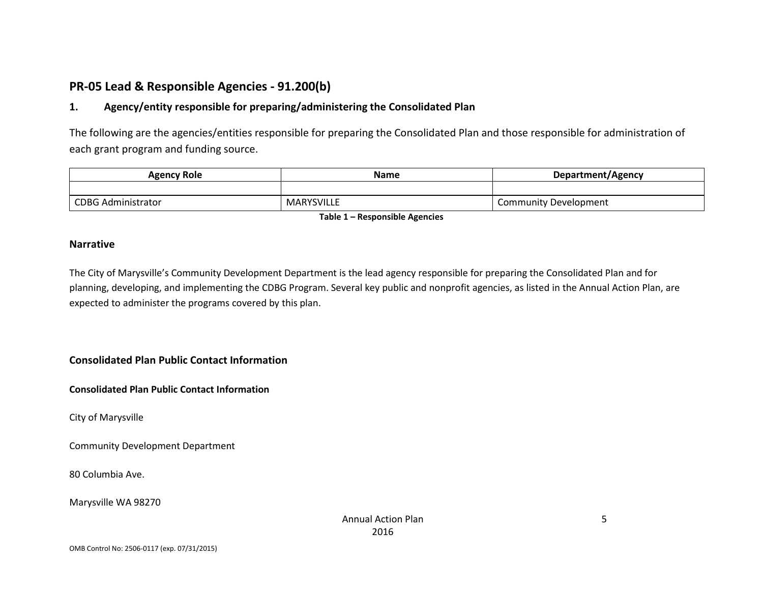## **PR-05 Lead & Responsible Agencies - 91.200(b)**

### **1. Agency/entity responsible for preparing/administering the Consolidated Plan**

The following are the agencies/entities responsible for preparing the Consolidated Plan and those responsible for administration of each grant program and funding source.

| <b>Agency Role</b>        | <b>Name</b>       | Department/Agency     |  |
|---------------------------|-------------------|-----------------------|--|
|                           |                   |                       |  |
| <b>CDBG Administrator</b> | <b>MARYSVILLE</b> | Community Development |  |

**Table 1 – Responsible Agencies**

#### **Narrative**

The City of Marysville's Community Development Department is the lead agency responsible for preparing the Consolidated Plan and for planning, developing, and implementing the CDBG Program. Several key public and nonprofit agencies, as listed in the Annual Action Plan, are expected to administer the programs covered by this plan.

**Consolidated Plan Public Contact Information**

**Consolidated Plan Public Contact Information**

City of Marysville

Community Development Department

80 Columbia Ave.

Marysville WA 98270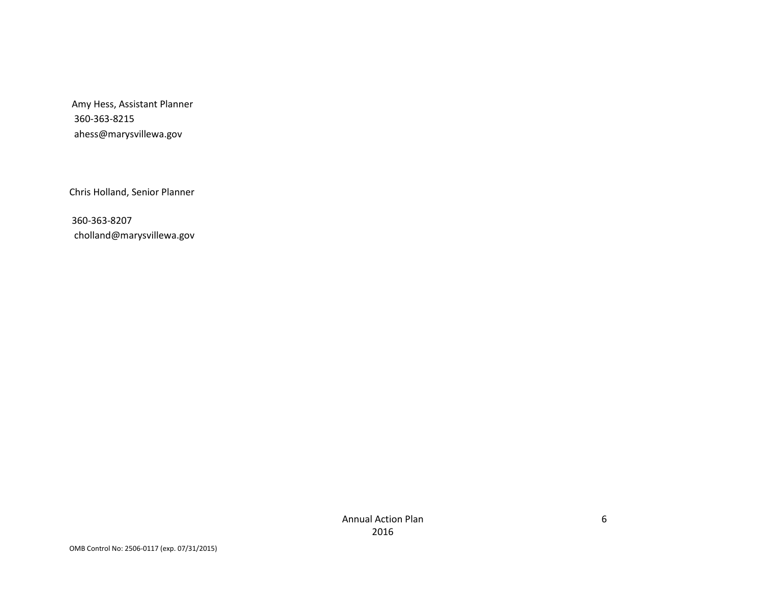Amy Hess, Assistant Planner 360-363-8215 ahess@marysvillewa.gov

Chris Holland, Senior Planner

360-363-8207 cholland@marysvillewa.gov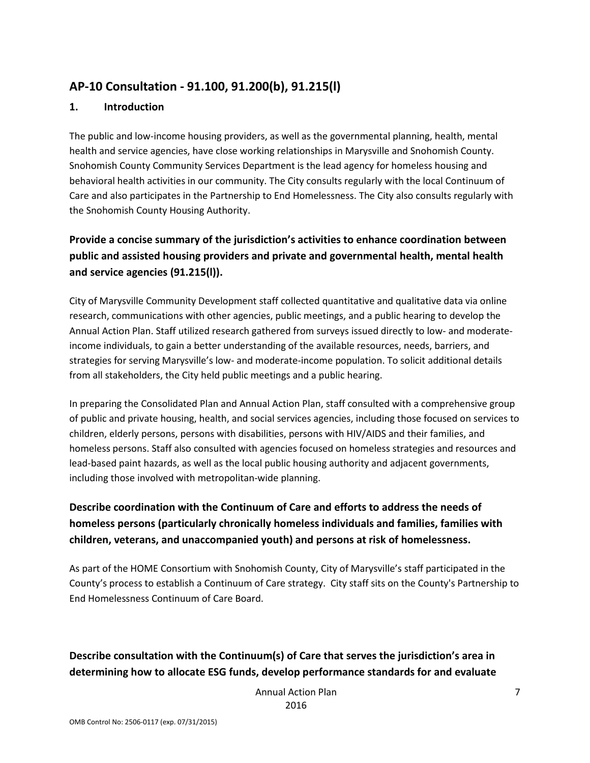## **AP-10 Consultation - 91.100, 91.200(b), 91.215(l)**

### **1. Introduction**

The public and low-income housing providers, as well as the governmental planning, health, mental health and service agencies, have close working relationships in Marysville and Snohomish County. Snohomish County Community Services Department is the lead agency for homeless housing and behavioral health activities in our community. The City consults regularly with the local Continuum of Care and also participates in the Partnership to End Homelessness. The City also consults regularly with the Snohomish County Housing Authority.

## **Provide a concise summary of the jurisdiction's activities to enhance coordination between public and assisted housing providers and private and governmental health, mental health and service agencies (91.215(l)).**

City of Marysville Community Development staff collected quantitative and qualitative data via online research, communications with other agencies, public meetings, and a public hearing to develop the Annual Action Plan. Staff utilized research gathered from surveys issued directly to low- and moderateincome individuals, to gain a better understanding of the available resources, needs, barriers, and strategies for serving Marysville's low- and moderate-income population. To solicit additional details from all stakeholders, the City held public meetings and a public hearing.

In preparing the Consolidated Plan and Annual Action Plan, staff consulted with a comprehensive group of public and private housing, health, and social services agencies, including those focused on services to children, elderly persons, persons with disabilities, persons with HIV/AIDS and their families, and homeless persons. Staff also consulted with agencies focused on homeless strategies and resources and lead-based paint hazards, as well as the local public housing authority and adjacent governments, including those involved with metropolitan-wide planning.

## **Describe coordination with the Continuum of Care and efforts to address the needs of homeless persons (particularly chronically homeless individuals and families, families with children, veterans, and unaccompanied youth) and persons at risk of homelessness.**

As part of the HOME Consortium with Snohomish County, City of Marysville's staff participated in the County's process to establish a Continuum of Care strategy. City staff sits on the County's Partnership to End Homelessness Continuum of Care Board.

## **Describe consultation with the Continuum(s) of Care that serves the jurisdiction's area in determining how to allocate ESG funds, develop performance standards for and evaluate**

Annual Action Plan 2016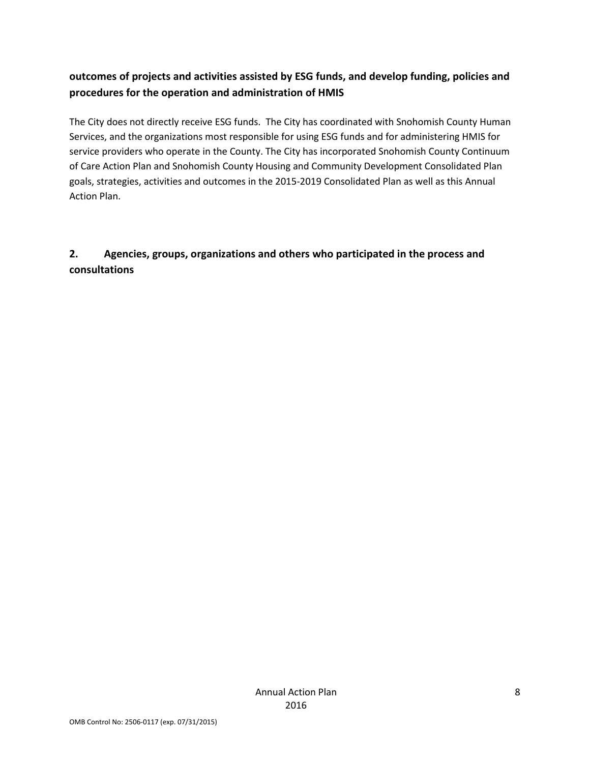## **outcomes of projects and activities assisted by ESG funds, and develop funding, policies and procedures for the operation and administration of HMIS**

The City does not directly receive ESG funds. The City has coordinated with Snohomish County Human Services, and the organizations most responsible for using ESG funds and for administering HMIS for service providers who operate in the County. The City has incorporated Snohomish County Continuum of Care Action Plan and Snohomish County Housing and Community Development Consolidated Plan goals, strategies, activities and outcomes in the 2015-2019 Consolidated Plan as well as this Annual Action Plan.

## **2. Agencies, groups, organizations and others who participated in the process and consultations**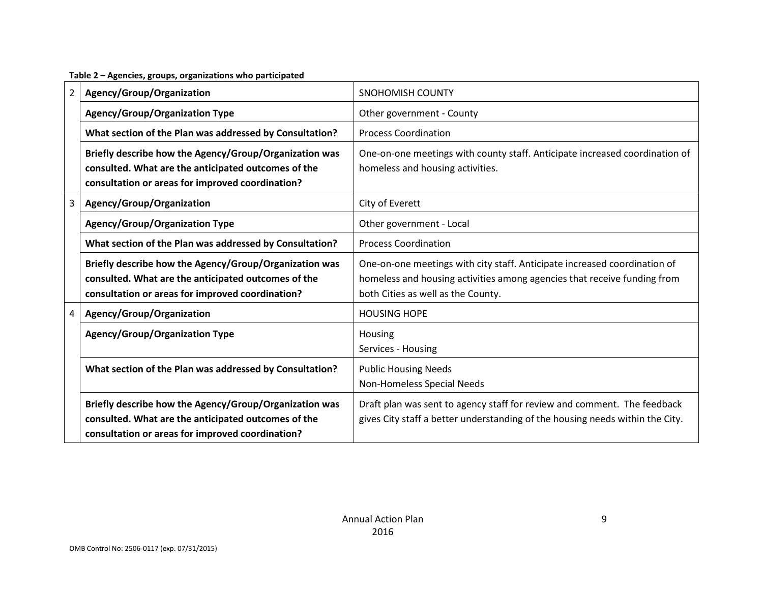**Table 2 – Agencies, groups, organizations who participated**

| $\overline{2}$ | Agency/Group/Organization                                                                                                                                         | <b>SNOHOMISH COUNTY</b>                                                                                                                                                                     |
|----------------|-------------------------------------------------------------------------------------------------------------------------------------------------------------------|---------------------------------------------------------------------------------------------------------------------------------------------------------------------------------------------|
|                | <b>Agency/Group/Organization Type</b>                                                                                                                             | Other government - County                                                                                                                                                                   |
|                | What section of the Plan was addressed by Consultation?                                                                                                           | <b>Process Coordination</b>                                                                                                                                                                 |
|                | Briefly describe how the Agency/Group/Organization was<br>consulted. What are the anticipated outcomes of the<br>consultation or areas for improved coordination? | One-on-one meetings with county staff. Anticipate increased coordination of<br>homeless and housing activities.                                                                             |
| 3              | Agency/Group/Organization                                                                                                                                         | City of Everett                                                                                                                                                                             |
|                | <b>Agency/Group/Organization Type</b>                                                                                                                             | Other government - Local                                                                                                                                                                    |
|                | What section of the Plan was addressed by Consultation?                                                                                                           | <b>Process Coordination</b>                                                                                                                                                                 |
|                | Briefly describe how the Agency/Group/Organization was<br>consulted. What are the anticipated outcomes of the<br>consultation or areas for improved coordination? | One-on-one meetings with city staff. Anticipate increased coordination of<br>homeless and housing activities among agencies that receive funding from<br>both Cities as well as the County. |
| 4              | Agency/Group/Organization                                                                                                                                         | <b>HOUSING HOPE</b>                                                                                                                                                                         |
|                | <b>Agency/Group/Organization Type</b>                                                                                                                             | Housing<br>Services - Housing                                                                                                                                                               |
|                | What section of the Plan was addressed by Consultation?                                                                                                           | <b>Public Housing Needs</b><br>Non-Homeless Special Needs                                                                                                                                   |
|                | Briefly describe how the Agency/Group/Organization was<br>consulted. What are the anticipated outcomes of the<br>consultation or areas for improved coordination? | Draft plan was sent to agency staff for review and comment. The feedback<br>gives City staff a better understanding of the housing needs within the City.                                   |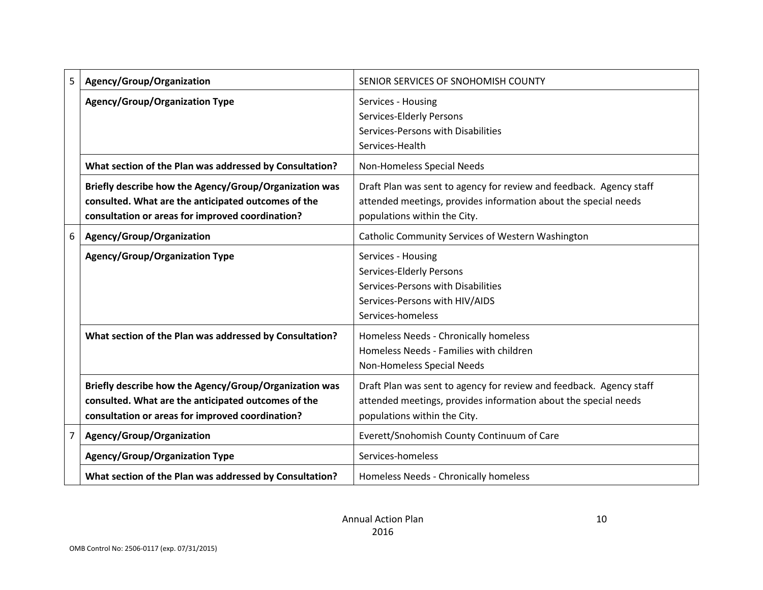| 5 | Agency/Group/Organization                                                                                                                                         | SENIOR SERVICES OF SNOHOMISH COUNTY                                                                                                                                    |
|---|-------------------------------------------------------------------------------------------------------------------------------------------------------------------|------------------------------------------------------------------------------------------------------------------------------------------------------------------------|
|   | <b>Agency/Group/Organization Type</b>                                                                                                                             | Services - Housing<br>Services-Elderly Persons<br>Services-Persons with Disabilities<br>Services-Health                                                                |
|   | What section of the Plan was addressed by Consultation?                                                                                                           | Non-Homeless Special Needs                                                                                                                                             |
|   | Briefly describe how the Agency/Group/Organization was<br>consulted. What are the anticipated outcomes of the<br>consultation or areas for improved coordination? | Draft Plan was sent to agency for review and feedback. Agency staff<br>attended meetings, provides information about the special needs<br>populations within the City. |
| 6 | Agency/Group/Organization                                                                                                                                         | Catholic Community Services of Western Washington                                                                                                                      |
|   | <b>Agency/Group/Organization Type</b>                                                                                                                             | Services - Housing<br>Services-Elderly Persons<br>Services-Persons with Disabilities<br>Services-Persons with HIV/AIDS<br>Services-homeless                            |
|   | What section of the Plan was addressed by Consultation?                                                                                                           | Homeless Needs - Chronically homeless<br>Homeless Needs - Families with children<br>Non-Homeless Special Needs                                                         |
|   | Briefly describe how the Agency/Group/Organization was<br>consulted. What are the anticipated outcomes of the<br>consultation or areas for improved coordination? | Draft Plan was sent to agency for review and feedback. Agency staff<br>attended meetings, provides information about the special needs<br>populations within the City. |
| 7 | Agency/Group/Organization                                                                                                                                         | Everett/Snohomish County Continuum of Care                                                                                                                             |
|   | <b>Agency/Group/Organization Type</b>                                                                                                                             | Services-homeless                                                                                                                                                      |
|   | What section of the Plan was addressed by Consultation?                                                                                                           | Homeless Needs - Chronically homeless                                                                                                                                  |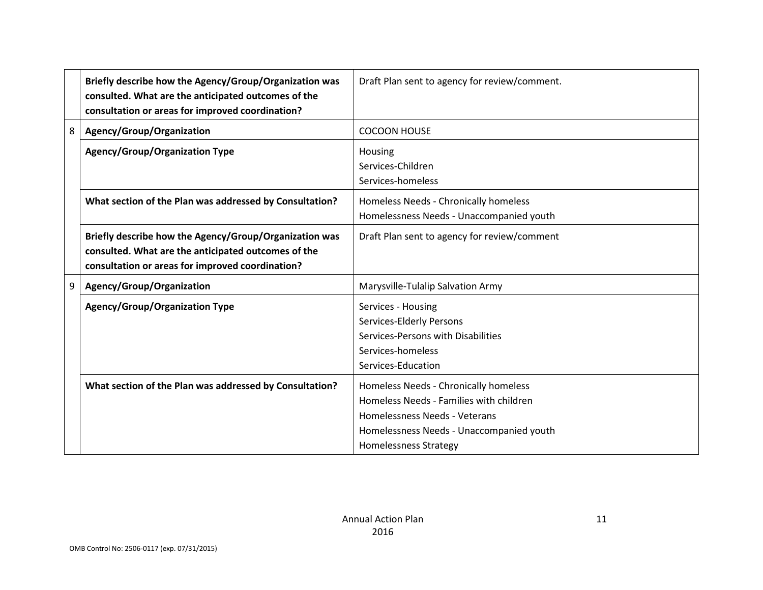|   | Briefly describe how the Agency/Group/Organization was<br>consulted. What are the anticipated outcomes of the<br>consultation or areas for improved coordination? | Draft Plan sent to agency for review/comment.                                                                                                                                                 |
|---|-------------------------------------------------------------------------------------------------------------------------------------------------------------------|-----------------------------------------------------------------------------------------------------------------------------------------------------------------------------------------------|
| 8 | Agency/Group/Organization                                                                                                                                         | <b>COCOON HOUSE</b>                                                                                                                                                                           |
|   | <b>Agency/Group/Organization Type</b>                                                                                                                             | Housing<br>Services-Children<br>Services-homeless                                                                                                                                             |
|   | What section of the Plan was addressed by Consultation?                                                                                                           | Homeless Needs - Chronically homeless<br>Homelessness Needs - Unaccompanied youth                                                                                                             |
|   | Briefly describe how the Agency/Group/Organization was<br>consulted. What are the anticipated outcomes of the<br>consultation or areas for improved coordination? | Draft Plan sent to agency for review/comment                                                                                                                                                  |
| 9 | Agency/Group/Organization                                                                                                                                         | Marysville-Tulalip Salvation Army                                                                                                                                                             |
|   | <b>Agency/Group/Organization Type</b>                                                                                                                             | Services - Housing<br>Services-Elderly Persons<br>Services-Persons with Disabilities<br>Services-homeless<br>Services-Education                                                               |
|   | What section of the Plan was addressed by Consultation?                                                                                                           | Homeless Needs - Chronically homeless<br>Homeless Needs - Families with children<br>Homelessness Needs - Veterans<br>Homelessness Needs - Unaccompanied youth<br><b>Homelessness Strategy</b> |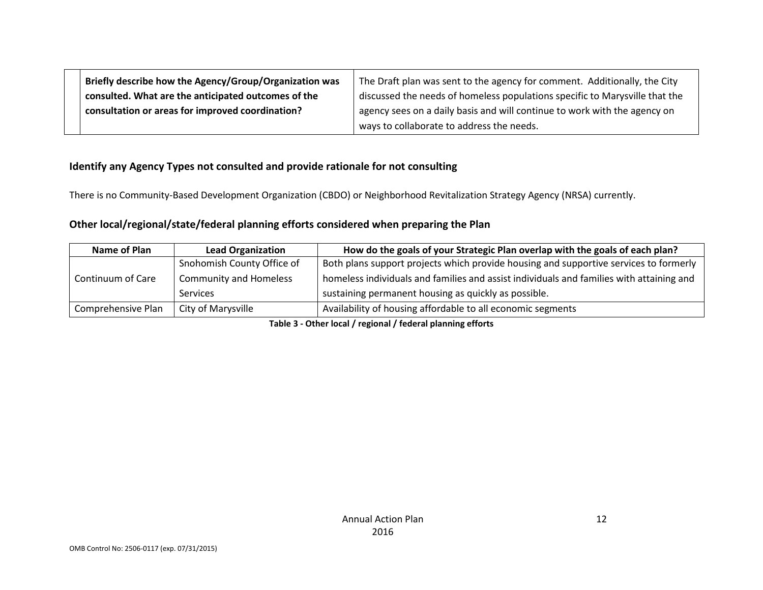| Briefly describe how the Agency/Group/Organization was | The Draft plan was sent to the agency for comment. Additionally, the City   |
|--------------------------------------------------------|-----------------------------------------------------------------------------|
| consulted. What are the anticipated outcomes of the    | discussed the needs of homeless populations specific to Marysville that the |
| consultation or areas for improved coordination?       | agency sees on a daily basis and will continue to work with the agency on   |
|                                                        | ways to collaborate to address the needs.                                   |

### **Identify any Agency Types not consulted and provide rationale for not consulting**

There is no Community-Based Development Organization (CBDO) or Neighborhood Revitalization Strategy Agency (NRSA) currently.

### **Other local/regional/state/federal planning efforts considered when preparing the Plan**

| Name of Plan       | <b>Lead Organization</b>      | How do the goals of your Strategic Plan overlap with the goals of each plan?             |
|--------------------|-------------------------------|------------------------------------------------------------------------------------------|
|                    | Snohomish County Office of    | Both plans support projects which provide housing and supportive services to formerly    |
| Continuum of Care  | <b>Community and Homeless</b> | homeless individuals and families and assist individuals and families with attaining and |
|                    | <b>Services</b>               | sustaining permanent housing as quickly as possible.                                     |
| Comprehensive Plan | City of Marysville            | Availability of housing affordable to all economic segments                              |

**Table 3 - Other local / regional / federal planning efforts**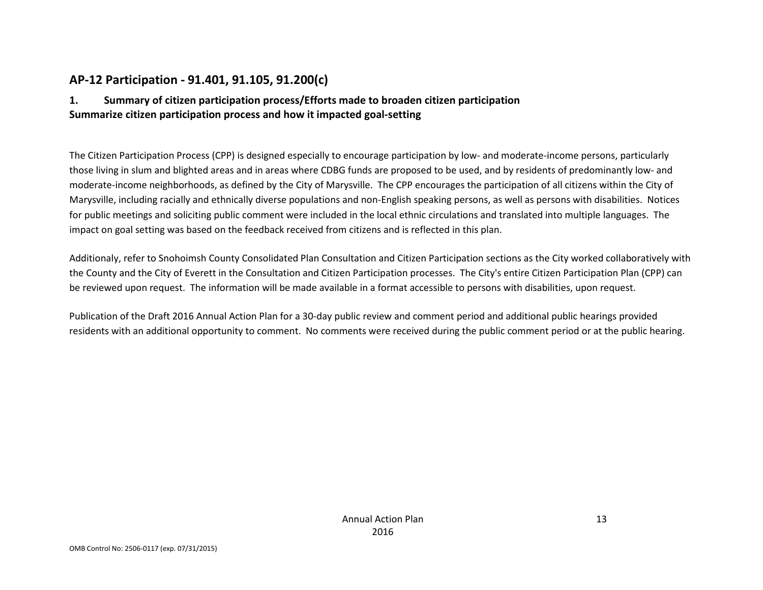## **AP-12 Participation - 91.401, 91.105, 91.200(c)**

### **1. Summary of citizen participation process/Efforts made to broaden citizen participation Summarize citizen participation process and how it impacted goal-setting**

The Citizen Participation Process (CPP) is designed especially to encourage participation by low- and moderate-income persons, particularly those living in slum and blighted areas and in areas where CDBG funds are proposed to be used, and by residents of predominantly low- and moderate-income neighborhoods, as defined by the City of Marysville. The CPP encourages the participation of all citizens within the City of Marysville, including racially and ethnically diverse populations and non-English speaking persons, as well as persons with disabilities. Notices for public meetings and soliciting public comment were included in the local ethnic circulations and translated into multiple languages. The impact on goal setting was based on the feedback received from citizens and is reflected in this plan.

Additionaly, refer to Snohoimsh County Consolidated Plan Consultation and Citizen Participation sections as the City worked collaboratively with the County and the City of Everett in the Consultation and Citizen Participation processes. The City's entire Citizen Participation Plan (CPP) can be reviewed upon request. The information will be made available in a format accessible to persons with disabilities, upon request.

Publication of the Draft 2016 Annual Action Plan for a 30-day public review and comment period and additional public hearings provided residents with an additional opportunity to comment. No comments were received during the public comment period or at the public hearing.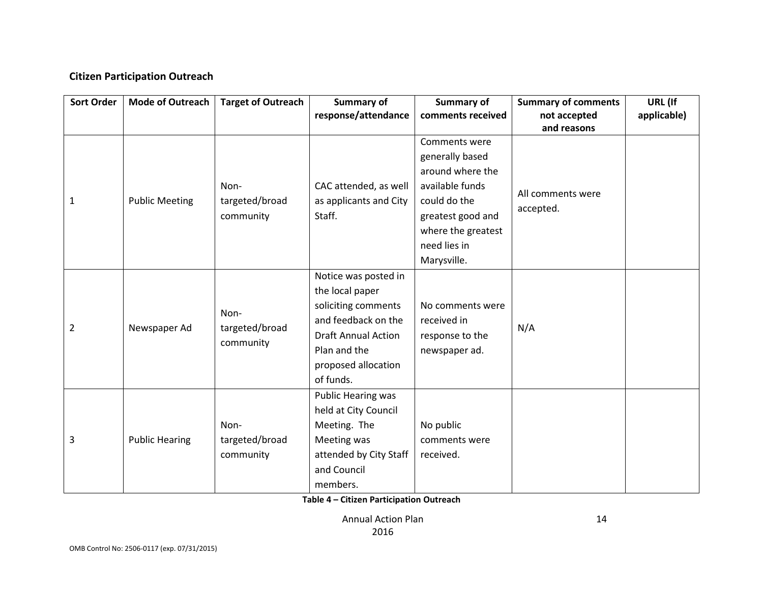### **Citizen Participation Outreach**

| <b>Sort Order</b> | <b>Mode of Outreach</b> | <b>Target of Outreach</b> | Summary of                 | Summary of         | <b>Summary of comments</b> | URL (If     |
|-------------------|-------------------------|---------------------------|----------------------------|--------------------|----------------------------|-------------|
|                   |                         |                           | response/attendance        | comments received  | not accepted               | applicable) |
|                   |                         |                           |                            | Comments were      | and reasons                |             |
|                   |                         |                           |                            |                    |                            |             |
|                   |                         |                           |                            | generally based    |                            |             |
|                   |                         |                           |                            | around where the   |                            |             |
|                   |                         | Non-                      | CAC attended, as well      | available funds    | All comments were          |             |
| 1                 | <b>Public Meeting</b>   | targeted/broad            | as applicants and City     | could do the       | accepted.                  |             |
|                   |                         | community                 | Staff.                     | greatest good and  |                            |             |
|                   |                         |                           |                            | where the greatest |                            |             |
|                   |                         |                           |                            | need lies in       |                            |             |
|                   |                         |                           |                            | Marysville.        |                            |             |
|                   | Newspaper Ad            |                           | Notice was posted in       |                    |                            |             |
|                   |                         | Non-<br>targeted/broad    | the local paper            |                    |                            |             |
|                   |                         |                           | soliciting comments        | No comments were   |                            |             |
| $\overline{2}$    |                         |                           | and feedback on the        | received in        | N/A                        |             |
|                   |                         |                           | <b>Draft Annual Action</b> | response to the    |                            |             |
|                   |                         | community                 | Plan and the               | newspaper ad.      |                            |             |
|                   |                         |                           | proposed allocation        |                    |                            |             |
|                   |                         |                           | of funds.                  |                    |                            |             |
|                   |                         |                           | Public Hearing was         |                    |                            |             |
| 3                 |                         |                           | held at City Council       |                    |                            |             |
|                   |                         | Non-                      | Meeting. The               | No public          |                            |             |
|                   | <b>Public Hearing</b>   | targeted/broad            | Meeting was                | comments were      |                            |             |
|                   |                         | community                 | attended by City Staff     | received.          |                            |             |
|                   |                         |                           | and Council                |                    |                            |             |
|                   |                         |                           | members.                   |                    |                            |             |

**Table 4 – Citizen Participation Outreach**

Annual Action Plan 2016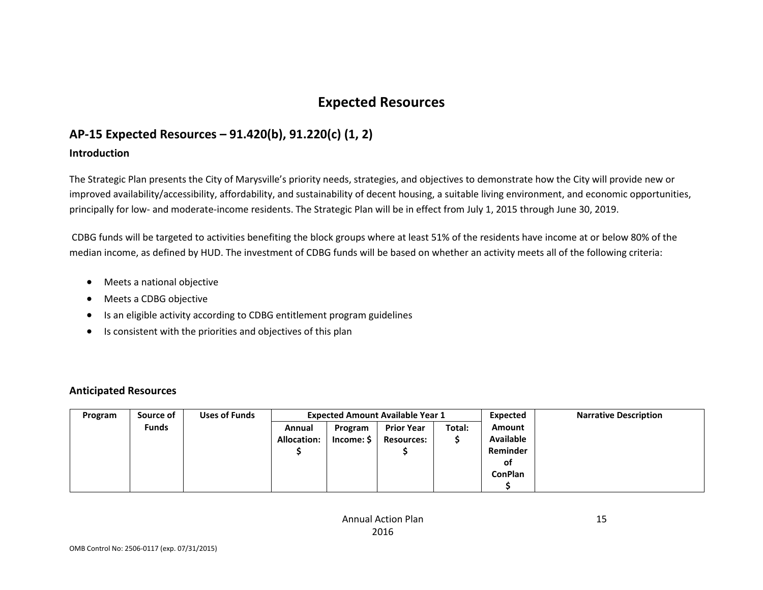## **Expected Resources**

## **AP-15 Expected Resources – 91.420(b), 91.220(c) (1, 2)**

### **Introduction**

The Strategic Plan presents the City of Marysville's priority needs, strategies, and objectives to demonstrate how the City will provide new or improved availability/accessibility, affordability, and sustainability of decent housing, a suitable living environment, and economic opportunities, principally for low- and moderate-income residents. The Strategic Plan will be in effect from July 1, 2015 through June 30, 2019.

CDBG funds will be targeted to activities benefiting the block groups where at least 51% of the residents have income at or below 80% of the median income, as defined by HUD. The investment of CDBG funds will be based on whether an activity meets all of the following criteria:

- Meets a national objective
- Meets a CDBG objective
- Is an eligible activity according to CDBG entitlement program guidelines
- Is consistent with the priorities and objectives of this plan

### **Anticipated Resources**

| Program | Source of    | <b>Uses of Funds</b> | <b>Expected Amount Available Year 1</b> |            |                   |        | Expected         | <b>Narrative Description</b> |
|---------|--------------|----------------------|-----------------------------------------|------------|-------------------|--------|------------------|------------------------------|
|         | <b>Funds</b> |                      | Annual                                  | Program    | <b>Prior Year</b> | Total: | Amount           |                              |
|         |              |                      | <b>Allocation:</b>                      | Income: \$ | <b>Resources:</b> |        | <b>Available</b> |                              |
|         |              |                      |                                         |            |                   |        | Reminder         |                              |
|         |              |                      |                                         |            |                   |        | οf               |                              |
|         |              |                      |                                         |            |                   |        | <b>ConPlan</b>   |                              |
|         |              |                      |                                         |            |                   |        |                  |                              |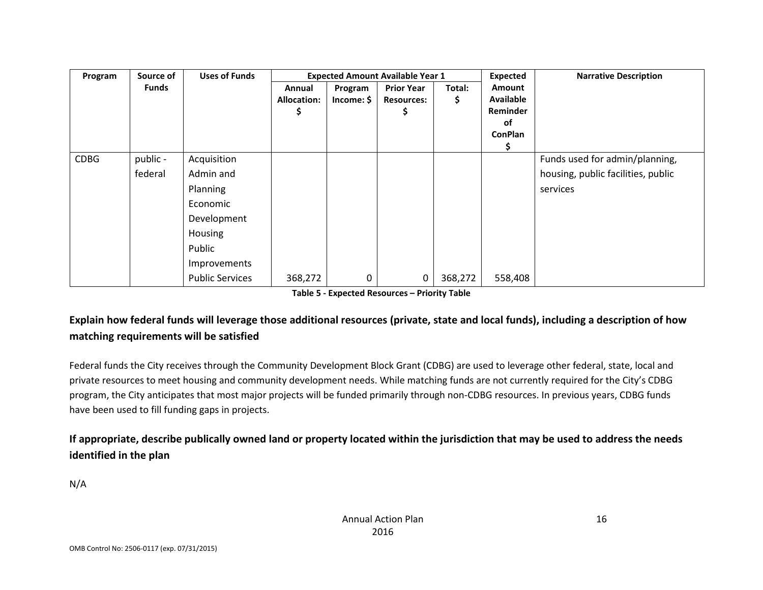| Program     | Source of    | <b>Uses of Funds</b>   |                              |                       | <b>Expected Amount Available Year 1</b> |               | <b>Expected</b>                                                | <b>Narrative Description</b>       |
|-------------|--------------|------------------------|------------------------------|-----------------------|-----------------------------------------|---------------|----------------------------------------------------------------|------------------------------------|
|             | <b>Funds</b> |                        | Annual<br><b>Allocation:</b> | Program<br>Income: \$ | <b>Prior Year</b><br><b>Resources:</b>  | Total:<br>\$. | Amount<br><b>Available</b><br>Reminder<br>of<br><b>ConPlan</b> |                                    |
| <b>CDBG</b> | public -     | Acquisition            |                              |                       |                                         |               |                                                                | Funds used for admin/planning,     |
|             | federal      | Admin and              |                              |                       |                                         |               |                                                                | housing, public facilities, public |
|             |              | <b>Planning</b>        |                              |                       |                                         |               |                                                                | services                           |
|             |              | Economic               |                              |                       |                                         |               |                                                                |                                    |
|             |              | Development            |                              |                       |                                         |               |                                                                |                                    |
|             |              | Housing                |                              |                       |                                         |               |                                                                |                                    |
|             |              | Public                 |                              |                       |                                         |               |                                                                |                                    |
|             |              | Improvements           |                              |                       |                                         |               |                                                                |                                    |
|             |              | <b>Public Services</b> | 368,272                      | 0                     | 0                                       | 368,272       | 558,408                                                        |                                    |

**Table 5 - Expected Resources – Priority Table**

### **Explain how federal funds will leverage those additional resources (private, state and local funds), including a description of how matching requirements will be satisfied**

Federal funds the City receives through the Community Development Block Grant (CDBG) are used to leverage other federal, state, local and private resources to meet housing and community development needs. While matching funds are not currently required for the City's CDBG program, the City anticipates that most major projects will be funded primarily through non-CDBG resources. In previous years, CDBG funds have been used to fill funding gaps in projects.

### **If appropriate, describe publically owned land or property located within the jurisdiction that may be used to address the needs identified in the plan**

N/A

16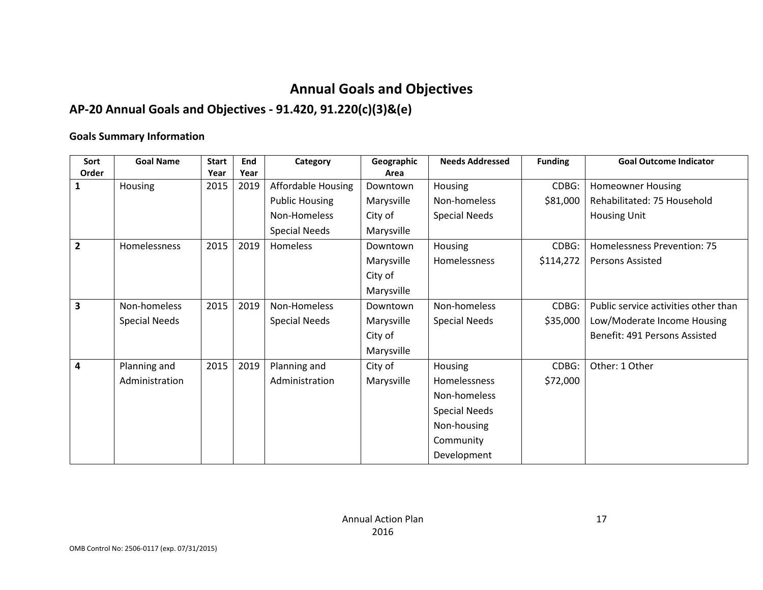# **Annual Goals and Objectives**

# **AP-20 Annual Goals and Objectives - 91.420, 91.220(c)(3)&(e)**

### **Goals Summary Information**

| Sort           | <b>Goal Name</b>     | <b>Start</b> | End  | Category                  | Geographic | <b>Needs Addressed</b> | <b>Funding</b> | <b>Goal Outcome Indicator</b>        |
|----------------|----------------------|--------------|------|---------------------------|------------|------------------------|----------------|--------------------------------------|
| Order          |                      | Year         | Year |                           | Area       |                        |                |                                      |
| 1              | Housing              | 2015         | 2019 | <b>Affordable Housing</b> | Downtown   | Housing                | CDBG:          | <b>Homeowner Housing</b>             |
|                |                      |              |      | <b>Public Housing</b>     | Marysville | Non-homeless           | \$81,000       | Rehabilitated: 75 Household          |
|                |                      |              |      | Non-Homeless              | City of    | <b>Special Needs</b>   |                | <b>Housing Unit</b>                  |
|                |                      |              |      | <b>Special Needs</b>      | Marysville |                        |                |                                      |
| $\overline{2}$ | Homelessness         | 2015         | 2019 | Homeless                  | Downtown   | Housing                | CDBG:          | Homelessness Prevention: 75          |
|                |                      |              |      |                           | Marysville | Homelessness           | \$114,272      | <b>Persons Assisted</b>              |
|                |                      |              |      |                           | City of    |                        |                |                                      |
|                |                      |              |      |                           | Marysville |                        |                |                                      |
| 3              | Non-homeless         | 2015         | 2019 | Non-Homeless              | Downtown   | Non-homeless           | CDBG:          | Public service activities other than |
|                | <b>Special Needs</b> |              |      | <b>Special Needs</b>      | Marysville | <b>Special Needs</b>   | \$35,000       | Low/Moderate Income Housing          |
|                |                      |              |      |                           | City of    |                        |                | Benefit: 491 Persons Assisted        |
|                |                      |              |      |                           | Marysville |                        |                |                                      |
| 4              | Planning and         | 2015         | 2019 | Planning and              | City of    | Housing                | CDBG:          | Other: 1 Other                       |
|                | Administration       |              |      | Administration            | Marysville | Homelessness           | \$72,000       |                                      |
|                |                      |              |      |                           |            | Non-homeless           |                |                                      |
|                |                      |              |      |                           |            | <b>Special Needs</b>   |                |                                      |
|                |                      |              |      |                           |            | Non-housing            |                |                                      |
|                |                      |              |      |                           |            | Community              |                |                                      |
|                |                      |              |      |                           |            | Development            |                |                                      |

17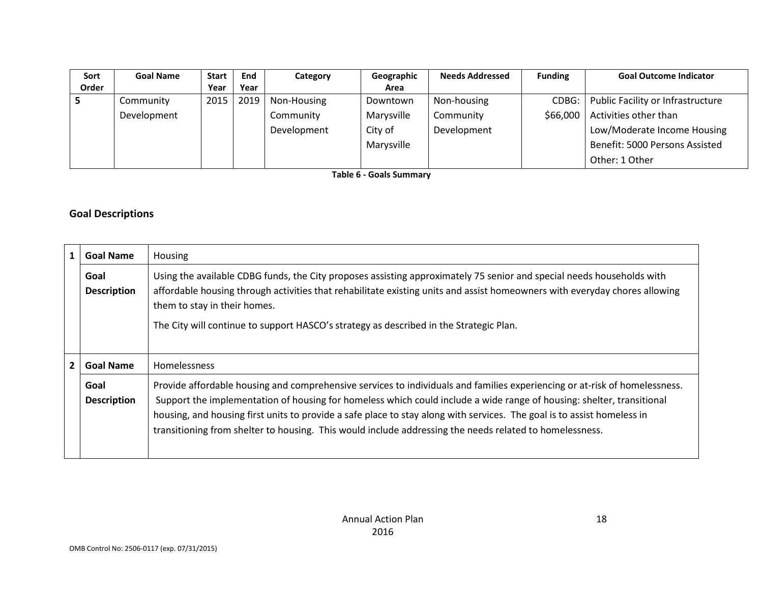| Sort  | <b>Goal Name</b> | <b>Start</b> | End  | Category    | Geographic | <b>Needs Addressed</b> | <b>Funding</b> | <b>Goal Outcome Indicator</b>     |
|-------|------------------|--------------|------|-------------|------------|------------------------|----------------|-----------------------------------|
| Order |                  | Year         | Year |             | Area       |                        |                |                                   |
|       | Community        | 2015         | 2019 | Non-Housing | Downtown   | Non-housing            | CDBG:          | Public Facility or Infrastructure |
|       | Development      |              |      | Community   | Marysville | Community              | \$66,000       | Activities other than             |
|       |                  |              |      | Development | City of    | Development            |                | Low/Moderate Income Housing       |
|       |                  |              |      |             | Marysville |                        |                | Benefit: 5000 Persons Assisted    |
|       |                  |              |      |             |            |                        |                | Other: 1 Other                    |

**Table 6 - Goals Summary**

### **Goal Descriptions**

| $\mathbf{1}$   | <b>Goal Name</b>           | Housing                                                                                                                                                                                                                                                                                                                                                                                                                                                                                   |
|----------------|----------------------------|-------------------------------------------------------------------------------------------------------------------------------------------------------------------------------------------------------------------------------------------------------------------------------------------------------------------------------------------------------------------------------------------------------------------------------------------------------------------------------------------|
|                | Goal<br><b>Description</b> | Using the available CDBG funds, the City proposes assisting approximately 75 senior and special needs households with<br>affordable housing through activities that rehabilitate existing units and assist homeowners with everyday chores allowing<br>them to stay in their homes.<br>The City will continue to support HASCO's strategy as described in the Strategic Plan.                                                                                                             |
| $\overline{2}$ | <b>Goal Name</b>           | Homelessness                                                                                                                                                                                                                                                                                                                                                                                                                                                                              |
|                | Goal<br><b>Description</b> | Provide affordable housing and comprehensive services to individuals and families experiencing or at-risk of homelessness.<br>Support the implementation of housing for homeless which could include a wide range of housing: shelter, transitional<br>housing, and housing first units to provide a safe place to stay along with services. The goal is to assist homeless in<br>transitioning from shelter to housing. This would include addressing the needs related to homelessness. |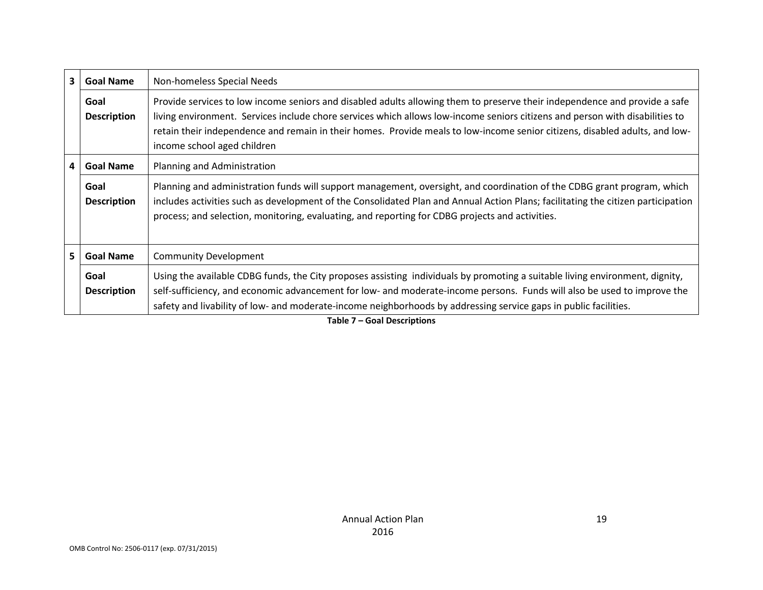| 3 <sup>1</sup>          | <b>Goal Name</b>           | Non-homeless Special Needs                                                                                                                                                                                                                                                                                                                                                                                               |  |
|-------------------------|----------------------------|--------------------------------------------------------------------------------------------------------------------------------------------------------------------------------------------------------------------------------------------------------------------------------------------------------------------------------------------------------------------------------------------------------------------------|--|
|                         | Goal<br><b>Description</b> | Provide services to low income seniors and disabled adults allowing them to preserve their independence and provide a safe<br>living environment. Services include chore services which allows low-income seniors citizens and person with disabilities to<br>retain their independence and remain in their homes. Provide meals to low-income senior citizens, disabled adults, and low-<br>income school aged children |  |
| $\overline{\mathbf{4}}$ | <b>Goal Name</b>           | Planning and Administration                                                                                                                                                                                                                                                                                                                                                                                              |  |
|                         | Goal<br><b>Description</b> | Planning and administration funds will support management, oversight, and coordination of the CDBG grant program, which<br>includes activities such as development of the Consolidated Plan and Annual Action Plans; facilitating the citizen participation<br>process; and selection, monitoring, evaluating, and reporting for CDBG projects and activities.                                                           |  |
| 5 <sub>1</sub>          | <b>Goal Name</b>           | <b>Community Development</b>                                                                                                                                                                                                                                                                                                                                                                                             |  |
|                         | Goal<br><b>Description</b> | Using the available CDBG funds, the City proposes assisting individuals by promoting a suitable living environment, dignity,<br>self-sufficiency, and economic advancement for low- and moderate-income persons. Funds will also be used to improve the<br>safety and livability of low- and moderate-income neighborhoods by addressing service gaps in public facilities.                                              |  |

**Table 7 – Goal Descriptions**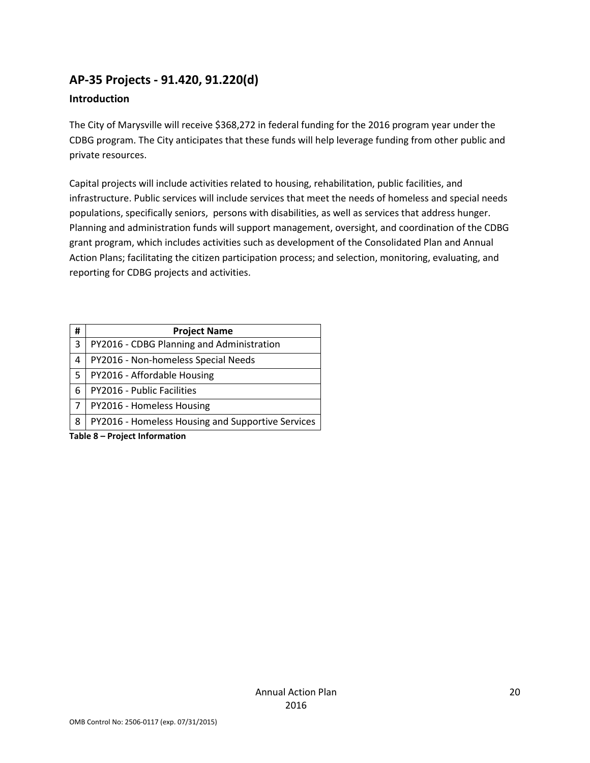## **AP-35 Projects - 91.420, 91.220(d)**

### **Introduction**

The City of Marysville will receive \$368,272 in federal funding for the 2016 program year under the CDBG program. The City anticipates that these funds will help leverage funding from other public and private resources.

Capital projects will include activities related to housing, rehabilitation, public facilities, and infrastructure. Public services will include services that meet the needs of homeless and special needs populations, specifically seniors, persons with disabilities, as well as services that address hunger. Planning and administration funds will support management, oversight, and coordination of the CDBG grant program, which includes activities such as development of the Consolidated Plan and Annual Action Plans; facilitating the citizen participation process; and selection, monitoring, evaluating, and reporting for CDBG projects and activities.

| #                             | <b>Project Name</b>                               |  |
|-------------------------------|---------------------------------------------------|--|
| 3                             | PY2016 - CDBG Planning and Administration         |  |
| 4                             | PY2016 - Non-homeless Special Needs               |  |
| 5                             | PY2016 - Affordable Housing                       |  |
| 6                             | PY2016 - Public Facilities                        |  |
| 7                             | PY2016 - Homeless Housing                         |  |
| 8                             | PY2016 - Homeless Housing and Supportive Services |  |
| Table 8 – Project Information |                                                   |  |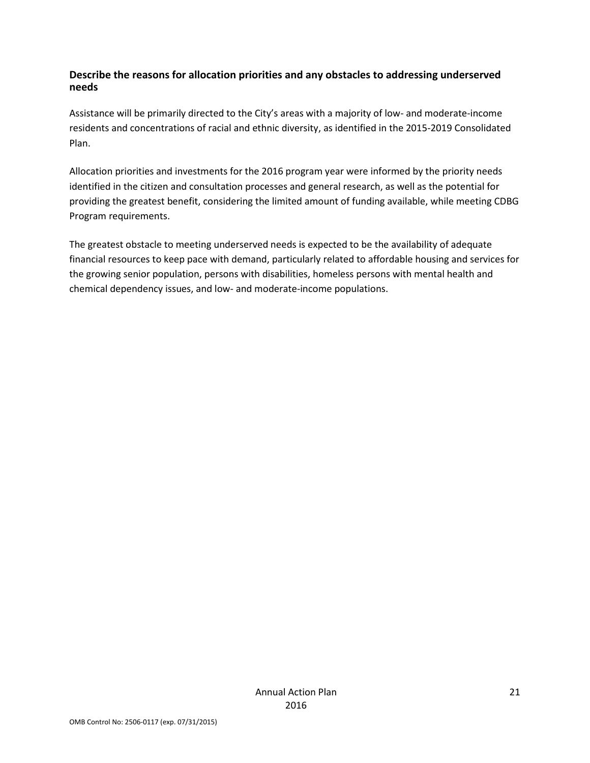### **Describe the reasons for allocation priorities and any obstacles to addressing underserved needs**

Assistance will be primarily directed to the City's areas with a majority of low- and moderate-income residents and concentrations of racial and ethnic diversity, as identified in the 2015-2019 Consolidated Plan.

Allocation priorities and investments for the 2016 program year were informed by the priority needs identified in the citizen and consultation processes and general research, as well as the potential for providing the greatest benefit, considering the limited amount of funding available, while meeting CDBG Program requirements.

The greatest obstacle to meeting underserved needs is expected to be the availability of adequate financial resources to keep pace with demand, particularly related to affordable housing and services for the growing senior population, persons with disabilities, homeless persons with mental health and chemical dependency issues, and low- and moderate-income populations.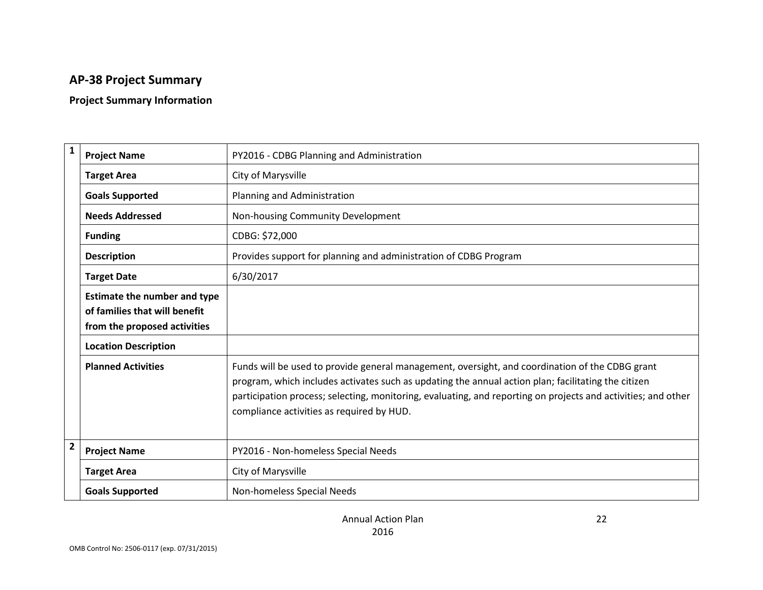# **AP-38 Project Summary**

# **Project Summary Information**

| $\mathbf{1}$            | <b>Project Name</b>                                                                                  | PY2016 - CDBG Planning and Administration                                                                                                                                                                                                                                                                                                                            |
|-------------------------|------------------------------------------------------------------------------------------------------|----------------------------------------------------------------------------------------------------------------------------------------------------------------------------------------------------------------------------------------------------------------------------------------------------------------------------------------------------------------------|
|                         | <b>Target Area</b>                                                                                   | City of Marysville                                                                                                                                                                                                                                                                                                                                                   |
|                         | <b>Goals Supported</b>                                                                               | Planning and Administration                                                                                                                                                                                                                                                                                                                                          |
|                         | <b>Needs Addressed</b>                                                                               | Non-housing Community Development                                                                                                                                                                                                                                                                                                                                    |
|                         | <b>Funding</b>                                                                                       | CDBG: \$72,000                                                                                                                                                                                                                                                                                                                                                       |
|                         | <b>Description</b>                                                                                   | Provides support for planning and administration of CDBG Program                                                                                                                                                                                                                                                                                                     |
|                         | <b>Target Date</b>                                                                                   | 6/30/2017                                                                                                                                                                                                                                                                                                                                                            |
|                         | <b>Estimate the number and type</b><br>of families that will benefit<br>from the proposed activities |                                                                                                                                                                                                                                                                                                                                                                      |
|                         | <b>Location Description</b>                                                                          |                                                                                                                                                                                                                                                                                                                                                                      |
|                         | <b>Planned Activities</b>                                                                            | Funds will be used to provide general management, oversight, and coordination of the CDBG grant<br>program, which includes activates such as updating the annual action plan; facilitating the citizen<br>participation process; selecting, monitoring, evaluating, and reporting on projects and activities; and other<br>compliance activities as required by HUD. |
| $\overline{\mathbf{2}}$ | <b>Project Name</b>                                                                                  | PY2016 - Non-homeless Special Needs                                                                                                                                                                                                                                                                                                                                  |
|                         | <b>Target Area</b>                                                                                   | City of Marysville                                                                                                                                                                                                                                                                                                                                                   |
|                         | <b>Goals Supported</b>                                                                               | Non-homeless Special Needs                                                                                                                                                                                                                                                                                                                                           |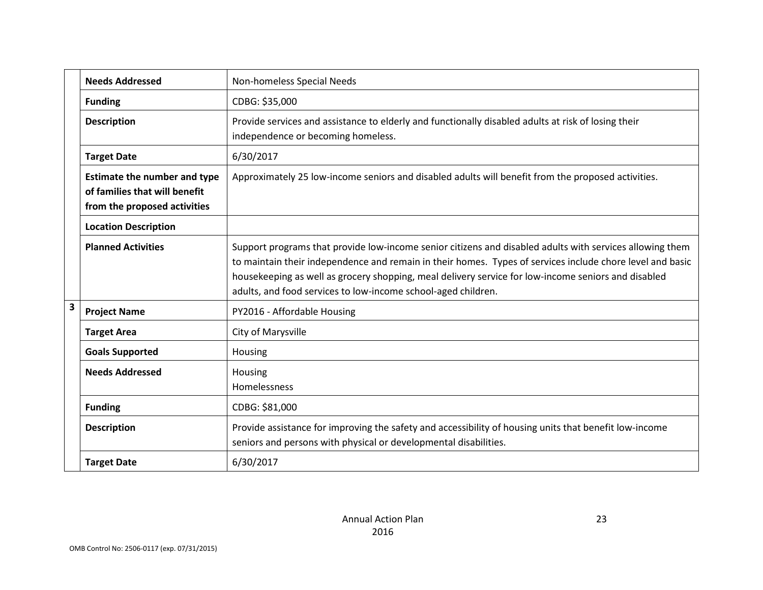|                         | <b>Needs Addressed</b>                                                                               | Non-homeless Special Needs                                                                                                                                                                                                                                                                                                                                                                    |
|-------------------------|------------------------------------------------------------------------------------------------------|-----------------------------------------------------------------------------------------------------------------------------------------------------------------------------------------------------------------------------------------------------------------------------------------------------------------------------------------------------------------------------------------------|
|                         | <b>Funding</b>                                                                                       | CDBG: \$35,000                                                                                                                                                                                                                                                                                                                                                                                |
|                         | <b>Description</b>                                                                                   | Provide services and assistance to elderly and functionally disabled adults at risk of losing their<br>independence or becoming homeless.                                                                                                                                                                                                                                                     |
|                         | <b>Target Date</b>                                                                                   | 6/30/2017                                                                                                                                                                                                                                                                                                                                                                                     |
|                         | <b>Estimate the number and type</b><br>of families that will benefit<br>from the proposed activities | Approximately 25 low-income seniors and disabled adults will benefit from the proposed activities.                                                                                                                                                                                                                                                                                            |
|                         | <b>Location Description</b>                                                                          |                                                                                                                                                                                                                                                                                                                                                                                               |
|                         | <b>Planned Activities</b>                                                                            | Support programs that provide low-income senior citizens and disabled adults with services allowing them<br>to maintain their independence and remain in their homes. Types of services include chore level and basic<br>housekeeping as well as grocery shopping, meal delivery service for low-income seniors and disabled<br>adults, and food services to low-income school-aged children. |
| $\overline{\mathbf{3}}$ | <b>Project Name</b>                                                                                  | PY2016 - Affordable Housing                                                                                                                                                                                                                                                                                                                                                                   |
|                         | <b>Target Area</b>                                                                                   | City of Marysville                                                                                                                                                                                                                                                                                                                                                                            |
|                         | <b>Goals Supported</b>                                                                               | Housing                                                                                                                                                                                                                                                                                                                                                                                       |
|                         | <b>Needs Addressed</b>                                                                               | Housing<br>Homelessness                                                                                                                                                                                                                                                                                                                                                                       |
|                         | <b>Funding</b>                                                                                       | CDBG: \$81,000                                                                                                                                                                                                                                                                                                                                                                                |
|                         | <b>Description</b>                                                                                   | Provide assistance for improving the safety and accessibility of housing units that benefit low-income<br>seniors and persons with physical or developmental disabilities.                                                                                                                                                                                                                    |
|                         | <b>Target Date</b>                                                                                   | 6/30/2017                                                                                                                                                                                                                                                                                                                                                                                     |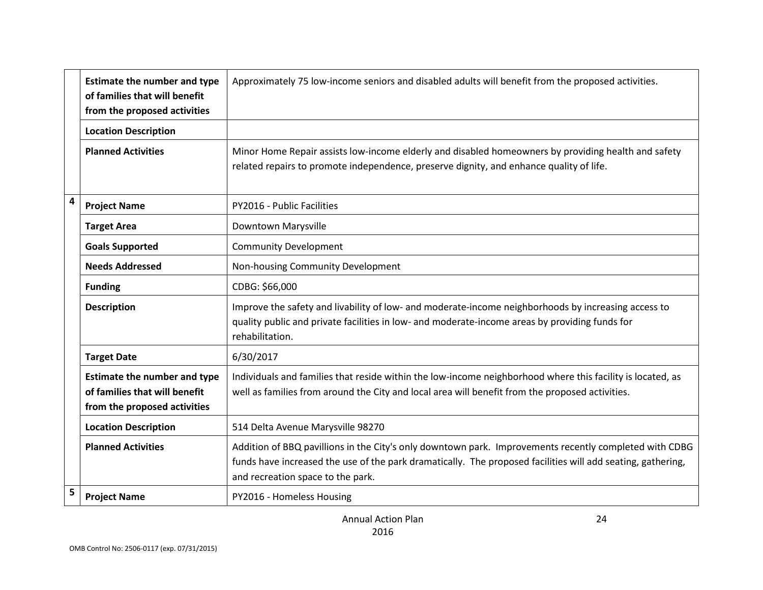|                         | <b>Estimate the number and type</b><br>of families that will benefit<br>from the proposed activities | Approximately 75 low-income seniors and disabled adults will benefit from the proposed activities.                                                                                                                                                         |
|-------------------------|------------------------------------------------------------------------------------------------------|------------------------------------------------------------------------------------------------------------------------------------------------------------------------------------------------------------------------------------------------------------|
|                         | <b>Location Description</b>                                                                          |                                                                                                                                                                                                                                                            |
|                         | <b>Planned Activities</b>                                                                            | Minor Home Repair assists low-income elderly and disabled homeowners by providing health and safety<br>related repairs to promote independence, preserve dignity, and enhance quality of life.                                                             |
| $\overline{\mathbf{4}}$ | <b>Project Name</b>                                                                                  | PY2016 - Public Facilities                                                                                                                                                                                                                                 |
|                         | <b>Target Area</b>                                                                                   | Downtown Marysville                                                                                                                                                                                                                                        |
|                         | <b>Goals Supported</b>                                                                               | <b>Community Development</b>                                                                                                                                                                                                                               |
|                         | <b>Needs Addressed</b>                                                                               | Non-housing Community Development                                                                                                                                                                                                                          |
|                         | <b>Funding</b>                                                                                       | CDBG: \$66,000                                                                                                                                                                                                                                             |
|                         | <b>Description</b>                                                                                   | Improve the safety and livability of low- and moderate-income neighborhoods by increasing access to<br>quality public and private facilities in low- and moderate-income areas by providing funds for<br>rehabilitation.                                   |
|                         | <b>Target Date</b>                                                                                   | 6/30/2017                                                                                                                                                                                                                                                  |
|                         | <b>Estimate the number and type</b><br>of families that will benefit<br>from the proposed activities | Individuals and families that reside within the low-income neighborhood where this facility is located, as<br>well as families from around the City and local area will benefit from the proposed activities.                                              |
|                         | <b>Location Description</b>                                                                          | 514 Delta Avenue Marysville 98270                                                                                                                                                                                                                          |
|                         | <b>Planned Activities</b>                                                                            | Addition of BBQ pavillions in the City's only downtown park. Improvements recently completed with CDBG<br>funds have increased the use of the park dramatically. The proposed facilities will add seating, gathering,<br>and recreation space to the park. |
| 5                       | <b>Project Name</b>                                                                                  | PY2016 - Homeless Housing                                                                                                                                                                                                                                  |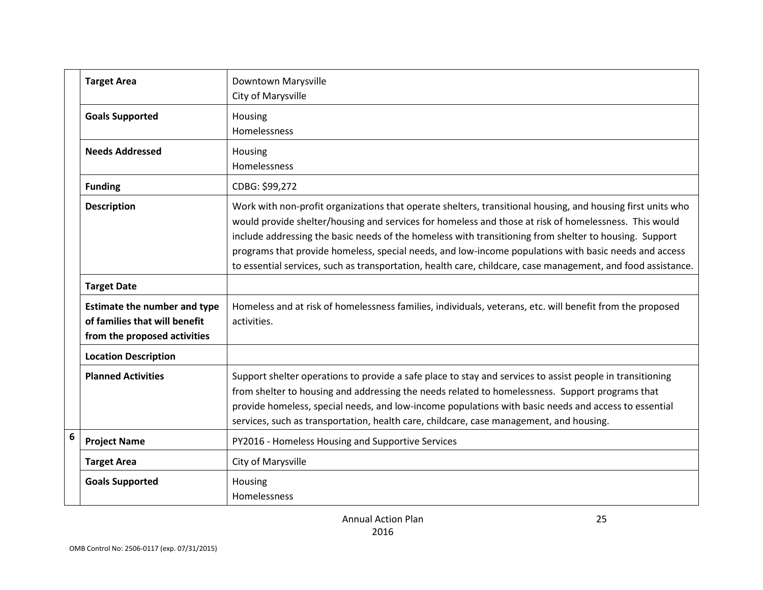|   | <b>Target Area</b>                                                                                   | Downtown Marysville<br>City of Marysville                                                                                                                                                                                                                                                                                                                                                                                                                                                                                                               |
|---|------------------------------------------------------------------------------------------------------|---------------------------------------------------------------------------------------------------------------------------------------------------------------------------------------------------------------------------------------------------------------------------------------------------------------------------------------------------------------------------------------------------------------------------------------------------------------------------------------------------------------------------------------------------------|
|   | <b>Goals Supported</b>                                                                               | Housing<br>Homelessness                                                                                                                                                                                                                                                                                                                                                                                                                                                                                                                                 |
|   | <b>Needs Addressed</b>                                                                               | Housing<br>Homelessness                                                                                                                                                                                                                                                                                                                                                                                                                                                                                                                                 |
|   | <b>Funding</b>                                                                                       | CDBG: \$99,272                                                                                                                                                                                                                                                                                                                                                                                                                                                                                                                                          |
|   | <b>Description</b>                                                                                   | Work with non-profit organizations that operate shelters, transitional housing, and housing first units who<br>would provide shelter/housing and services for homeless and those at risk of homelessness. This would<br>include addressing the basic needs of the homeless with transitioning from shelter to housing. Support<br>programs that provide homeless, special needs, and low-income populations with basic needs and access<br>to essential services, such as transportation, health care, childcare, case management, and food assistance. |
|   | <b>Target Date</b>                                                                                   |                                                                                                                                                                                                                                                                                                                                                                                                                                                                                                                                                         |
|   | <b>Estimate the number and type</b><br>of families that will benefit<br>from the proposed activities | Homeless and at risk of homelessness families, individuals, veterans, etc. will benefit from the proposed<br>activities.                                                                                                                                                                                                                                                                                                                                                                                                                                |
|   | <b>Location Description</b>                                                                          |                                                                                                                                                                                                                                                                                                                                                                                                                                                                                                                                                         |
|   | <b>Planned Activities</b>                                                                            | Support shelter operations to provide a safe place to stay and services to assist people in transitioning<br>from shelter to housing and addressing the needs related to homelessness. Support programs that<br>provide homeless, special needs, and low-income populations with basic needs and access to essential<br>services, such as transportation, health care, childcare, case management, and housing.                                                                                                                                         |
| 6 | <b>Project Name</b>                                                                                  | PY2016 - Homeless Housing and Supportive Services                                                                                                                                                                                                                                                                                                                                                                                                                                                                                                       |
|   | <b>Target Area</b>                                                                                   | City of Marysville                                                                                                                                                                                                                                                                                                                                                                                                                                                                                                                                      |
|   | <b>Goals Supported</b>                                                                               | Housing<br><b>Homelessness</b>                                                                                                                                                                                                                                                                                                                                                                                                                                                                                                                          |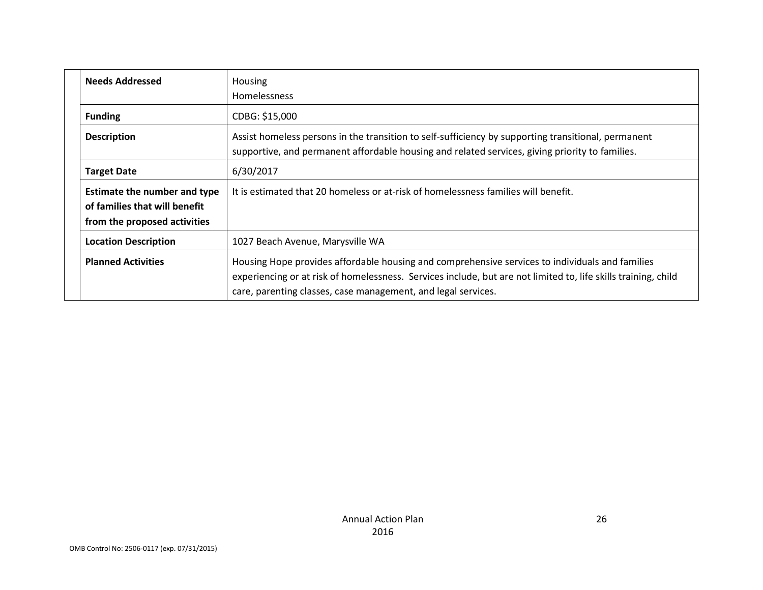| <b>Needs Addressed</b>                                                                               | Housing                                                                                                                                                                                                                                                                            |
|------------------------------------------------------------------------------------------------------|------------------------------------------------------------------------------------------------------------------------------------------------------------------------------------------------------------------------------------------------------------------------------------|
|                                                                                                      | <b>Homelessness</b>                                                                                                                                                                                                                                                                |
| <b>Funding</b>                                                                                       | CDBG: \$15,000                                                                                                                                                                                                                                                                     |
| <b>Description</b>                                                                                   | Assist homeless persons in the transition to self-sufficiency by supporting transitional, permanent<br>supportive, and permanent affordable housing and related services, giving priority to families.                                                                             |
| <b>Target Date</b>                                                                                   | 6/30/2017                                                                                                                                                                                                                                                                          |
| <b>Estimate the number and type</b><br>of families that will benefit<br>from the proposed activities | It is estimated that 20 homeless or at-risk of homelessness families will benefit.                                                                                                                                                                                                 |
| <b>Location Description</b>                                                                          | 1027 Beach Avenue, Marysville WA                                                                                                                                                                                                                                                   |
| <b>Planned Activities</b>                                                                            | Housing Hope provides affordable housing and comprehensive services to individuals and families<br>experiencing or at risk of homelessness. Services include, but are not limited to, life skills training, child<br>care, parenting classes, case management, and legal services. |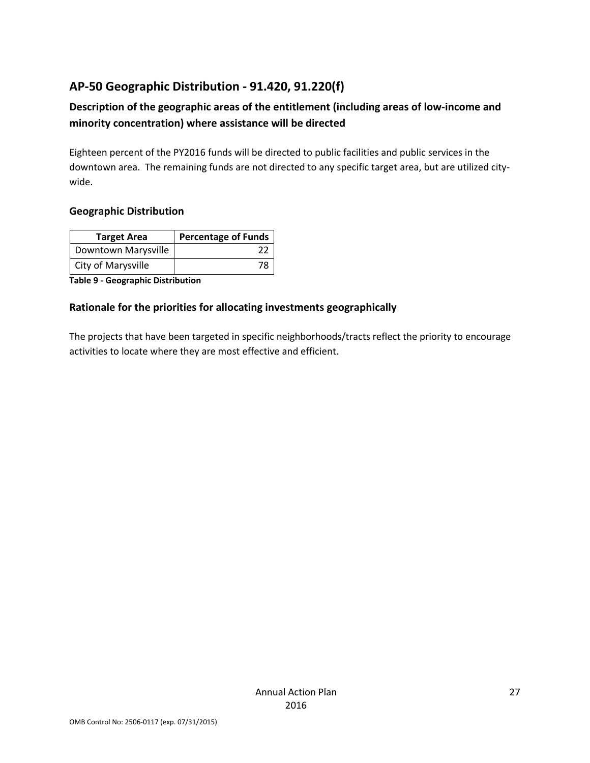## **AP-50 Geographic Distribution - 91.420, 91.220(f)**

## **Description of the geographic areas of the entitlement (including areas of low-income and minority concentration) where assistance will be directed**

Eighteen percent of the PY2016 funds will be directed to public facilities and public services in the downtown area. The remaining funds are not directed to any specific target area, but are utilized citywide.

### **Geographic Distribution**

| <b>Target Area</b>  | <b>Percentage of Funds</b> |
|---------------------|----------------------------|
| Downtown Marysville |                            |
| City of Marysville  |                            |

**Table 9 - Geographic Distribution** 

### **Rationale for the priorities for allocating investments geographically**

The projects that have been targeted in specific neighborhoods/tracts reflect the priority to encourage activities to locate where they are most effective and efficient.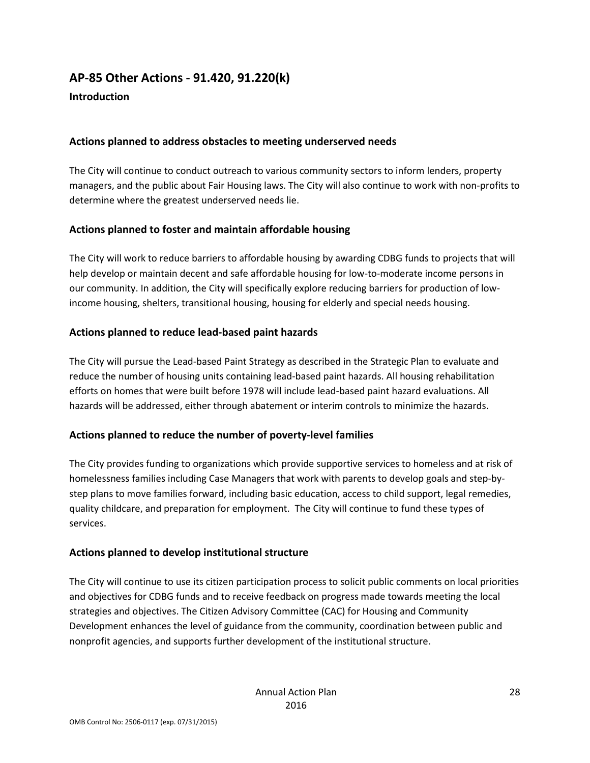# **AP-85 Other Actions - 91.420, 91.220(k)**

### **Introduction**

### **Actions planned to address obstacles to meeting underserved needs**

The City will continue to conduct outreach to various community sectors to inform lenders, property managers, and the public about Fair Housing laws. The City will also continue to work with non-profits to determine where the greatest underserved needs lie.

### **Actions planned to foster and maintain affordable housing**

The City will work to reduce barriers to affordable housing by awarding CDBG funds to projects that will help develop or maintain decent and safe affordable housing for low-to-moderate income persons in our community. In addition, the City will specifically explore reducing barriers for production of lowincome housing, shelters, transitional housing, housing for elderly and special needs housing.

### **Actions planned to reduce lead-based paint hazards**

The City will pursue the Lead-based Paint Strategy as described in the Strategic Plan to evaluate and reduce the number of housing units containing lead-based paint hazards. All housing rehabilitation efforts on homes that were built before 1978 will include lead-based paint hazard evaluations. All hazards will be addressed, either through abatement or interim controls to minimize the hazards.

### **Actions planned to reduce the number of poverty-level families**

The City provides funding to organizations which provide supportive services to homeless and at risk of homelessness families including Case Managers that work with parents to develop goals and step-bystep plans to move families forward, including basic education, access to child support, legal remedies, quality childcare, and preparation for employment. The City will continue to fund these types of services.

### **Actions planned to develop institutional structure**

The City will continue to use its citizen participation process to solicit public comments on local priorities and objectives for CDBG funds and to receive feedback on progress made towards meeting the local strategies and objectives. The Citizen Advisory Committee (CAC) for Housing and Community Development enhances the level of guidance from the community, coordination between public and nonprofit agencies, and supports further development of the institutional structure.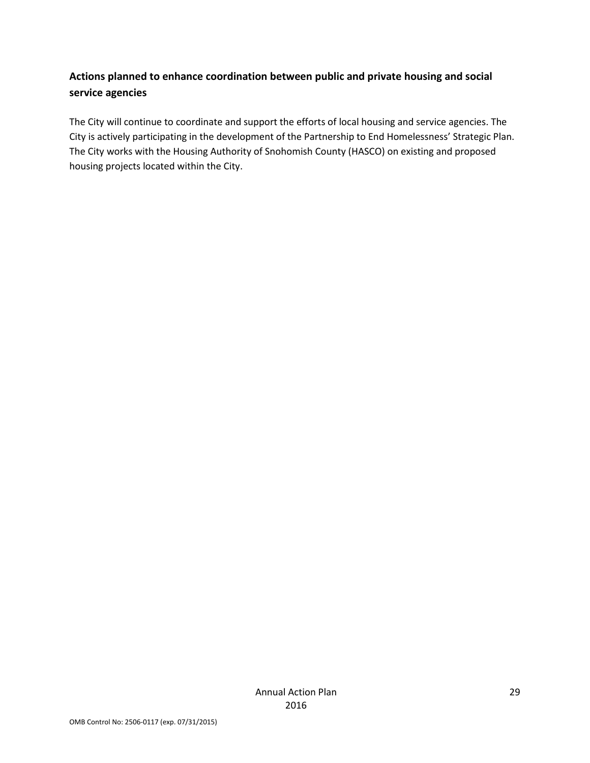## **Actions planned to enhance coordination between public and private housing and social service agencies**

The City will continue to coordinate and support the efforts of local housing and service agencies. The City is actively participating in the development of the Partnership to End Homelessness' Strategic Plan. The City works with the Housing Authority of Snohomish County (HASCO) on existing and proposed housing projects located within the City.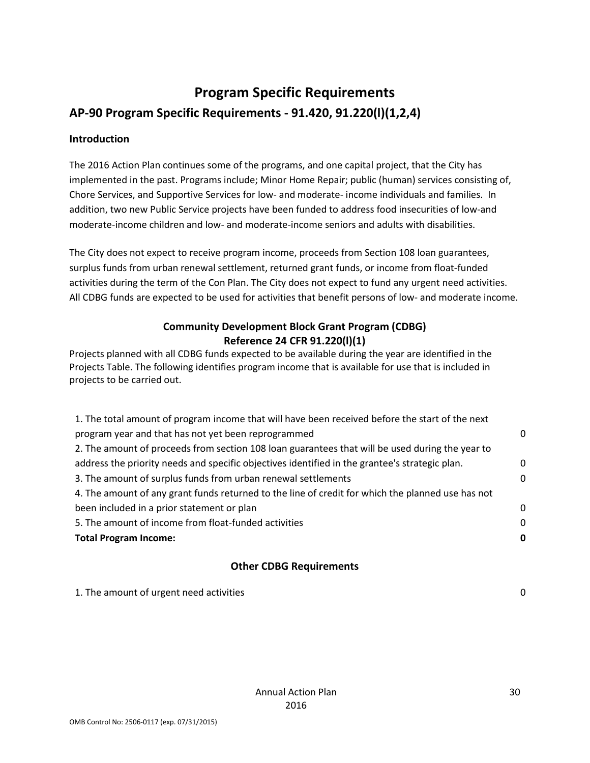# **Program Specific Requirements AP-90 Program Specific Requirements - 91.420, 91.220(l)(1,2,4)**

### **Introduction**

The 2016 Action Plan continues some of the programs, and one capital project, that the City has implemented in the past. Programs include; Minor Home Repair; public (human) services consisting of, Chore Services, and Supportive Services for low- and moderate- income individuals and families. In addition, two new Public Service projects have been funded to address food insecurities of low-and moderate-income children and low- and moderate-income seniors and adults with disabilities.

The City does not expect to receive program income, proceeds from Section 108 loan guarantees, surplus funds from urban renewal settlement, returned grant funds, or income from float-funded activities during the term of the Con Plan. The City does not expect to fund any urgent need activities. All CDBG funds are expected to be used for activities that benefit persons of low- and moderate income.

### **Community Development Block Grant Program (CDBG) Reference 24 CFR 91.220(l)(1)**

Projects planned with all CDBG funds expected to be available during the year are identified in the Projects Table. The following identifies program income that is available for use that is included in projects to be carried out.

| 1. The total amount of program income that will have been received before the start of the next   |          |
|---------------------------------------------------------------------------------------------------|----------|
| program year and that has not yet been reprogrammed                                               | 0        |
| 2. The amount of proceeds from section 108 loan guarantees that will be used during the year to   |          |
| address the priority needs and specific objectives identified in the grantee's strategic plan.    | $\Omega$ |
| 3. The amount of surplus funds from urban renewal settlements                                     | 0        |
| 4. The amount of any grant funds returned to the line of credit for which the planned use has not |          |
| been included in a prior statement or plan                                                        | $\Omega$ |
| 5. The amount of income from float-funded activities                                              | $\Omega$ |
| <b>Total Program Income:</b>                                                                      |          |
|                                                                                                   |          |

### **Other CDBG Requirements**

1. The amount of urgent need activities 0